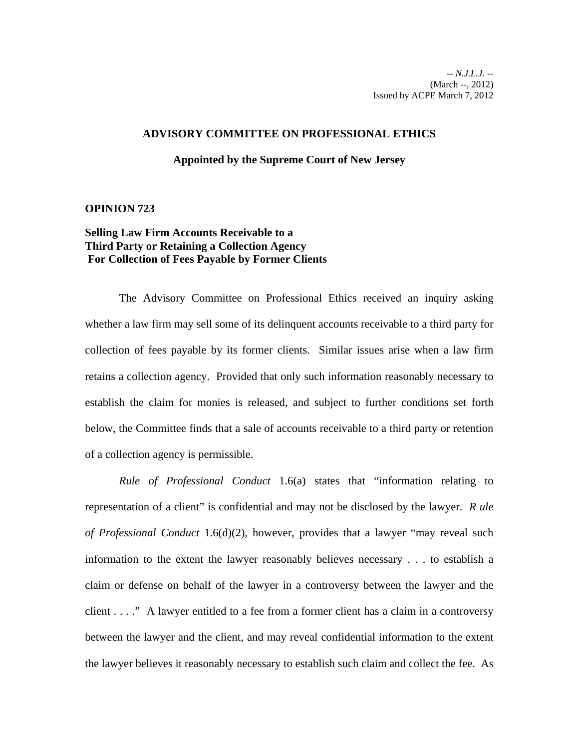## **ADVISORY COMMITTEE ON PROFESSIONAL ETHICS**

## **Appointed by the Supreme Court of New Jersey**

## **OPINION 723**

## **Selling Law Firm Accounts Receivable to a Third Party or Retaining a Collection Agency For Collection of Fees Payable by Former Clients**

The Advisory Committee on Professional Ethics received an inquiry asking whether a law firm may sell some of its delinquent accounts receivable to a third party for collection of fees payable by its former clients. Similar issues arise when a law firm retains a collection agency. Provided that only such information reasonably necessary to establish the claim for monies is released, and subject to further conditions set forth below, the Committee finds that a sale of accounts receivable to a third party or retention of a collection agency is permissible.

*Rule of Professional Conduct* 1.6(a) states that "information relating to representation of a client" is confidential and may not be disclosed by the lawyer. *R ule of Professional Conduct* 1.6(d)(2), however, provides that a lawyer "may reveal such information to the extent the lawyer reasonably believes necessary . . . to establish a claim or defense on behalf of the lawyer in a controversy between the lawyer and the client . . . ." A lawyer entitled to a fee from a former client has a claim in a controversy between the lawyer and the client, and may reveal confidential information to the extent the lawyer believes it reasonably necessary to establish such claim and collect the fee. As